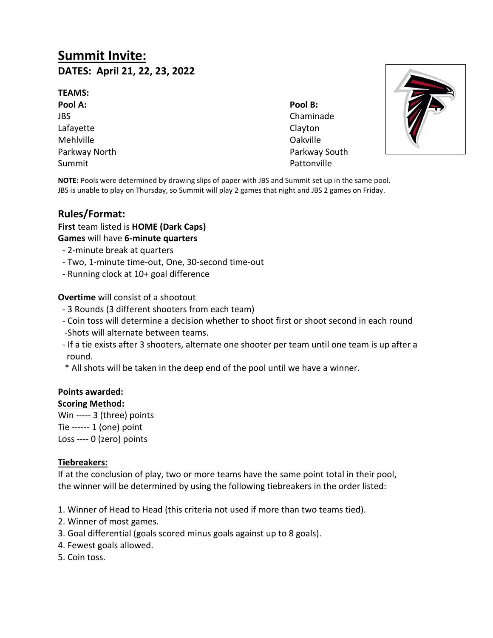# **Summit Invite: DATES: April 21, 22, 23, 2022**

#### **TEAMS:**

**Pool A: Pool B:** JBS Chaminade Lafayette Clayton Mehlville Oakville Summit Pattonville

Parkway North **Parkway South** Parkway South



**NOTE:** Pools were determined by drawing slips of paper with JBS and Summit set up in the same pool. JBS is unable to play on Thursday, so Summit will play 2 games that night and JBS 2 games on Friday.

## **Rules/Format:**

**First** team listed is **HOME (Dark Caps)**

**Games** will have **6-minute quarters**

- 2-minute break at quarters
- Two, 1-minute time-out, One, 30-second time-out
- Running clock at 10+ goal difference

**Overtime** will consist of a shootout

- 3 Rounds (3 different shooters from each team)
- Coin toss will determine a decision whether to shoot first or shoot second in each round -Shots will alternate between teams.
- If a tie exists after 3 shooters, alternate one shooter per team until one team is up after a round.
- \* All shots will be taken in the deep end of the pool until we have a winner.

#### **Points awarded:**

#### **Scoring Method:**

Win ----- 3 (three) points Tie ------ 1 (one) point

Loss ---- 0 (zero) points

## **Tiebreakers:**

If at the conclusion of play, two or more teams have the same point total in their pool, the winner will be determined by using the following tiebreakers in the order listed:

- 1. Winner of Head to Head (this criteria not used if more than two teams tied).
- 2. Winner of most games.
- 3. Goal differential (goals scored minus goals against up to 8 goals).
- 4. Fewest goals allowed.
- 5. Coin toss.